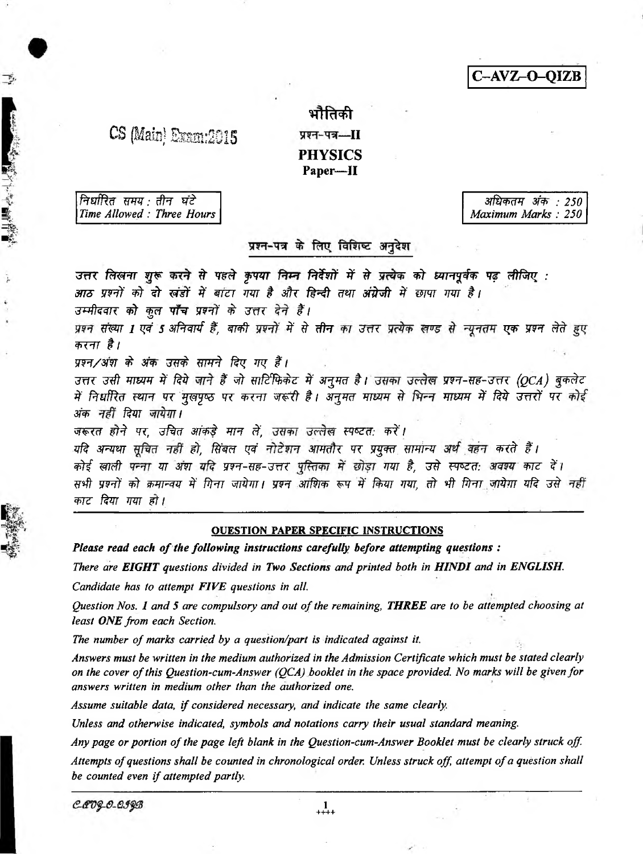C-AVZ-O-QIZB

## $CS$   $(Main)$   $Exam:2015$   $x=-1$

# भौतिकी **PHYSICS** Paper—II

*ftrsrfRxf mw:* ffrf *wi* 3 t o f *3fc> : 250*

· 大家 · 大家 · 大家 · 大家

*Time Allowed : Three Hours Maximum Marks : 250*

#### प्रश्न-पत्र के लिए विशिष्ट अनुदेश

उत्तर लिखना शुरू करने से पहले कृपया निम्न निर्देशों में से प्रत्येक को ध्यानपूर्वक पढ लीजिए : *3m wtf* # *it wit % mzr mr* # *sffc f^ f um dtifrff \$ mwr mr i i उम्मीदवार को कुल पाँच प्रश्नों के उत्तर देने हैं।* प्रश्न संख्या 1 एवं 5 अनिवार्य हैं, बाकी प्रश्नों में से **तीन** का उत्तर प्रत्येक खण्ड से न्यूनतम एक प्रश्न लेते हुए करना है। *प्रश्न/अंश के अंक उसके सामने दिए गए हैं। zतर उसी माध्यम में दिये जाने हैं जो साटिंफिकेट में अनुमत है। उसका उल्लेख प्रश्न-सह-उत्तर (QCA) बुकलेट* में निर्धारित स्थान पर मुखपृष्ठ पर करना जरूरी है। अनुमत माध्यम से भिन्न माध्यम में दिये उत्तरों पर कोई अंक *नहीं दिया जायेगा। जरूरत होने पर. उचित आंकडे मान लें. उसका उल्लेख स्पष्टत: करें।* यदि अन्यथा सूचित नहीं हो, सिंबल एवं नोटेशन आमतौर पर प्रयुक्त सामान्य अर्थ वहन करते हैं। कोई खाली पन्ना या अंश यदि प्रश्न-सह-उत्तर पुस्तिका में छोड़ा गया है, उसे स्पष्टत: अवश्य काट दें। सभी प्रश्नों को क्रमान्वय में गिना जायेगा। प्रश्न आंशिक रूप में किया गया, तो भी गिना जायेगा यदि उसे नहीं *काट दिया गया हो।* 

#### QUESTION PAPER SPECIFIC INSTRUCTIONS

*Please read each of the following instructions carefully before attempting questions :* 

*There are EIGHT questions divided in Two Sections and printed both in HINDI and in ENGLISH.*

*Candidate has to attempt FIVE questions in all.*

*Question Nos. I and* 5 *are compulsory and out of the remaining, THREE are to be attempted choosing at least ONE from each Section.*

*The number of marks carried by a question/part is indicated against it.*

*Answers must be written in the medium authorized in the Admission Certificate which must be stated clearly on the cover of this Question-cum-Answer (QCA) booklet in the space provided. No marks will be given for answers written in medium other than the authorized one.*

*Assume suitable data, if considered necessary, and indicate the same clearly.*

*Unless and otherwise indicated, symbols and notations carry their usual standard meaning.*

*Any page or portion of the page left blank in the Question-cum-Answer Booklet must be clearly struck off Attempts of questions shall be counted in chronological order. Unless struck off attempt of a question shall be counted even if attempted partly*

C-COQ-O-QIQB

1 ++++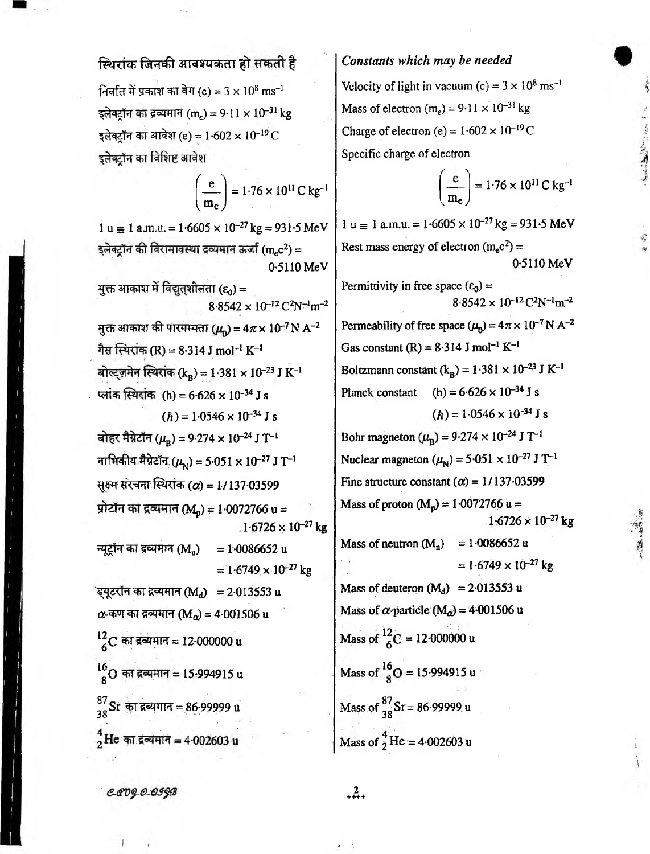# Velocity of light in vacuum (c) =  $3 \times 10^8$  ms<sup>-1</sup>

一体、病

Mass of electron (m<sub>e</sub>) =  $9.11 \times 10^{-31}$  kg Charge of electron (e) =  $1.602 \times 10^{-19}$  C Specific charge of electron

*Constants which may be needed*

$$
\left(\frac{e}{m_e}\right) = 1.76 \times 10^{11} \text{ C kg}^{-1}
$$

 $1 u \equiv 1 a.m.u. = 1.6605 \times 10^{-27} kg = 931.5 MeV$ Rest mass energy of electron  $(m_e c^2)$  = 0-5110 MeV Permittivity in free space  $(\epsilon_0)$  =  $8.8542 \times 10^{-12}$  C<sup>2</sup>N<sup>-1</sup>m<sup>-2</sup> Permeability of free space  $(\mu_0) = 4\pi \times 10^{-7}$  N A<sup>-2</sup> Gas constant  $(R) = 8.314$  J mol<sup>-1</sup> K<sup>-1</sup> Boltzmann constant  $(k_B) = 1.381 \times 10^{-23}$  J K<sup>-1</sup> Planck constant (h) =  $6.626 \times 10^{-34}$  J s  $(h) = 1.0546 \times 10^{-34}$  J s Bohr magneton  $(\mu_{\rm B}) = 9.274 \times 10^{-24}$  J T<sup>-1</sup> Nuclear magneton  $(\mu_N) = 5.051 \times 10^{-27}$  J T<sup>-1</sup> Fine structure constant  $(\alpha) = 1/137.03599$ Mass of proton  $(M_p) = 1.0072766 u =$  $1.6726 \times 10^{-27}$  kg Mass of neutron  $(M_n) = 1.0086652$  u  $= 1.6749 \times 10^{-27}$  kg Mass of deuteron  $(M_d)$  = 2.013553 u Mass of  $\alpha$ -particle (M<sub>a</sub>) = 4.001506 u Mass of  $^{12}_{6}$ C = 12.000000 u Mass of  $^{10}_{8}$ O = 15-994915 u Mass of  $\frac{87}{38}$ Sr = 86 99999 u Mass of  $\frac{4}{2}$ He = 4.002603 u

### स्थिरांक जिनकी आवश्यकता हो सकती है

निर्वात में प्रकाश का वेग (c) =  $3 \times 10^8 \text{ ms}^{-1}$ इलेक्टॉन का द्रव्यमान (m.) = 9-11 × 10<sup>-31</sup> kg इलेक्ट्रॉन का आवेश (e) =  $1.602 \times 10^{-19}$ C इलेक्टॉन का विशिष्ट आवेश

> $\left(\frac{e}{m}\right) = 1.76 \times 10^{11} \text{ C kg}^{-1}$   $\left(\frac{e}{m}\right)$  $\langle m_e \rangle$   $\langle m_e \rangle$

 $1 u = 1 a.m.u. = 1.6605 \times 10^{-27} kg = 931.5 MeV$ इलेक्ट्रॉन की विरामावस्था द्रव्यमान ऊर्जा (m.c<sup>2</sup>) = 0-5110 MeV मुक्त आकाश में विद्युत्शीलता ( $\varepsilon_0$ ) =  $8.8542 \times 10^{-12}$  C<sup>2</sup>N<sup>-1</sup>m<sup>-2</sup> **मुक्त आकाश की पारंगम्यता (** $\mu$ **) = 4** $\pi$  **× 10<sup>-7</sup> N A<sup>-2</sup>** गैस स्थिरांक (R) = 8.314 J mol<sup>-1</sup> K<sup>-1</sup> बोल्ट्ज़मेन स्थिरांक (kB) = 1.381 × 10-23 J K-1 प्लांक स्थिरांक (h) = 6.626 × 10<sup>-34</sup> J s  $(\hbar) = 1.0546 \times 10^{-34}$  J s बोहर मैग्नेटॉन ( $\mu_{\rm B}$ ) = 9.274 × 10<sup>-24</sup> J T<sup>-1</sup> नाभिकीय मैग्नेटॉन, ( $\mu_{\rm N}$ ) = 5.051 x 10<sup>-27</sup> J T<sup>-1</sup> सूक्ष्म संरचना स्थिरांक ( $\alpha$ ) = 1/137-03599 प्रोटॉन का द्रव्यमान (M<sub>n</sub>) = 1.0072766 u =  $1.6726 \times 10^{-27}$  kg न्यूट्रॉन का द्रव्यमान (M<sub>n</sub>) = 1.0086652 u  $= 1.6749 \times 10^{-27}$  kg ंड्यूटरॉन का द्रव्यमान (Ma) = 2·013553 u  $\alpha$ -कण का द्रव्यमान (Ma) = 4.001506 u 12,  $^{2}_{6}$ C का द्रव्यमान = 12·000000 u 16  $8^\circ$ O का द्रव्यमान = 15-994915 u 87  $\frac{3}{38}$ Sr का द्रव्यमान = 86.99999 u  $^{4}_{2}$ He का द्रव्यमान = 4.002603 u

CCOQ-0-099B

 $^{2}_{+++}$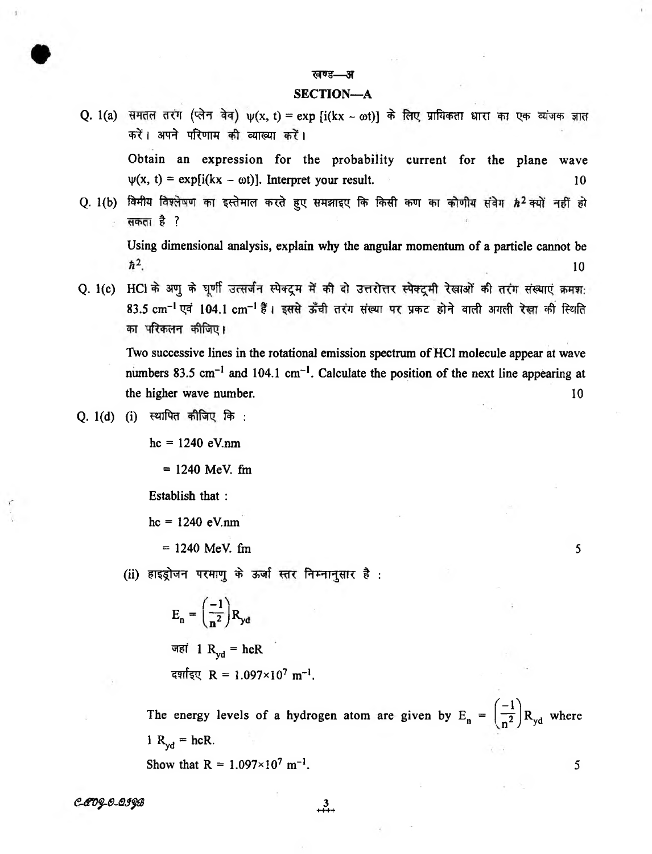#### खण्ड—

#### SECTION—A

Q. 1(a) समतल तरंग (प्लेन वेव)  $\psi(x, t) = \exp[i(kx - \omega t)]$  के लिए प्रायिकता धारा का एक व्यंजक ज्ञात करें। अपने परिणाम की व्याख्या करें।

Obtain an expression for the probability current for the plane wave  $\psi(x, t) = \exp[i(kx - \omega t)]$ . Interpret your result. 10

Q. 1(b) विमीय विश्लेषण का इस्तेमाल करते हुए समझाइए कि किसी कण का कोणीय संवेग *h2* क्यों नहीं हो सकता है ?

Using dimensional analysis, explain why the angular momentum of a particle cannot be  $\hbar^2$ 10

Q. 1(c) HCI के अणू के घृणी उत्सर्जन स्पेक्ट्रम में की दो उत्तरोत्तर स्पेक्ट्मी रेखाओं की तरंग संख्याएं क्रमश: 83.5 cm<sup>-1</sup> एवं 104.1 cm<sup>-1</sup> हैं। इससे ऊँची तरंग संख्या पर प्रकट होने वाली अगली रेखा की स्थिति का परिकलन कीजिए।

Two successive lines in the rotational emission spectrum of HCI molecule appear at wave numbers 83.5 cm<sup>-1</sup> and 104.1 cm<sup>-1</sup>. Calculate the position of the next line appearing at the higher wave number. 10

#### Q. 1(d) (i) स्थापित कीजिए कि :

 $hc = 1240 eV.nm$ 

 $= 1240$  MeV. fm

Establish that :

 $hc = 1240 eV.$ nm

 $= 1240$  MeV. fm  $= 5$ 

(ii) हाइड्रोजन परमाणु के ऊर्जा स्तर निम्नानुसार है :

$$
E_n = \left(\frac{-1}{n^2}\right) R_{yd}
$$
  
and 
$$
R_{yd} = h c R
$$
  
areffgq R = 1.097×10<sup>7</sup> m<sup>-1</sup>.

The energy levels of a hydrogen atom are given by  $E_n = \left(\frac{-1}{n^2}\right)R_{yd}$  where  $l R_{vd} = hcR$ . Show that  $R = 1.097 \times 10^7 \text{ m}^{-1}$ . 5

*<°OVg-0-0JpB* 3

 $+ \frac{3}{1}$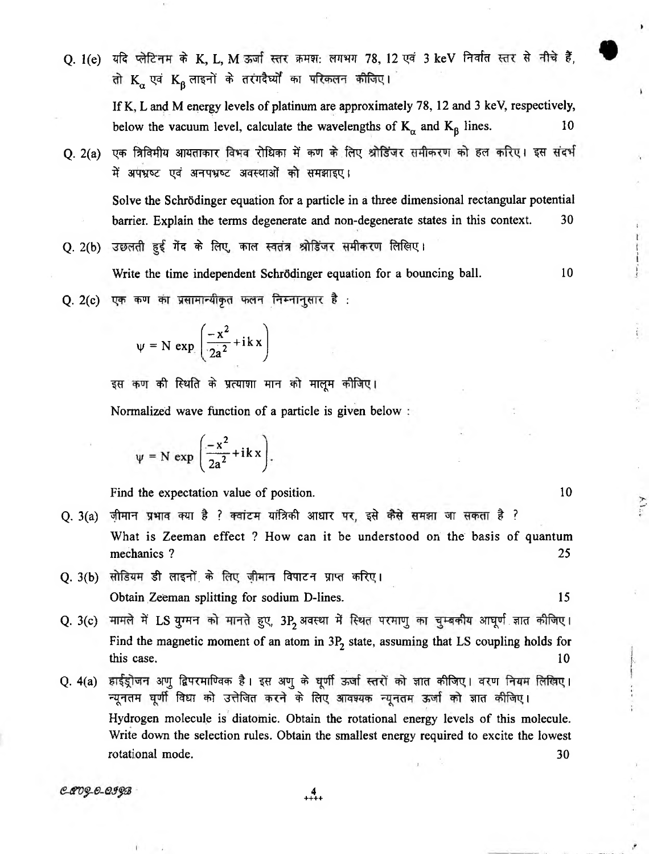O. 1(e) यदि प्लेटिनम के K, L, M ऊर्जा स्तर क्रमश: लगभग 78, 12 एवं 3 keV निर्वात स्तर से नीचे हैं, तो  $K_{\alpha}$  एवं  $K_{\beta}$  लाइनों के तरंगदैर्घ्यों का परिकलन कीजिए।

If K, L and M energy levels of platinum are approximately 78,12 and 3 keV, respectively, below the vacuum level, calculate the wavelengths of  $K_{\alpha}$  and  $K_{\beta}$  lines. 10

Q. 2(a) एक त्रिविमीय आयताकार विभव रोधिका में कण के लिए श्रोडिंजर समीकरण को हल करिए। इस संदर्भ में अपभ्रष्ट एवं अनपभ्रष्ट अवस्थाओं को समझाइए।

Solve the Schrödinger equation for a particle in a three dimensional rectangular potential barrier. Explain the terms degenerate and non-degenerate states in this context. 30

Q. 2(b) उछलती हुई गेंद के लिए, काल स्वतंत्र श्रोडिंजर समीकरण लिखिए।

Write the time independent Schrödinger equation for a bouncing ball. 10

 $Q. 2(c)$  एक कण का प्रसामान्यीकृत फलन निम्नानुसार है :

$$
\psi = N \exp\left(\frac{-x^2}{2a^2} + ikx\right)
$$

इस कण की स्थिति के प्रत्याशा मान को मालूम कीजिए।

Normalized wave function of a particle is given below

$$
\psi = N \exp \left( \frac{-x^2}{2a^2} + ik \, x \right).
$$

Find the expectation value of position. 10

- Q. 3(a) जीमान प्रभाव क्या है ? क्वांटम यांत्रिकी आधार पर, इसे कैसे समझा जा सकता है ? What is Zeeman effect ? How can it be understood on the basis of quantum mechanics ? 25
- Q. 3(b) सोडियम डी लाइनों के लिए जीमान विपाटन प्राप्त करिए। Obtain Zeeman splitting for sodium D-lines. 15
- Q. 3(c) मामले में LS युग्मन को मानते हुए, 3P, अवस्था में स्थित परमाणु का चुम्बकीय आघूर्ण ज्ञात कीजिए। Find the magnetic moment of an atom in  $3P<sub>2</sub>$  state, assuming that LS coupling holds for  $\lambda$  this case.  $10$
- Q. 4(a) हाईड्रोजन अणु द्विपरमाण्विक है। इस अणु के घूर्णी ऊर्जा स्तरों को ज्ञात कीजिए। वरण नियम लिखिए। न्यूनतम घूर्णी विधा को उत्तेजित करने के लिए आवश्यक न्यूनतम ऊर्जा को ज्ञात कीजिए। Hydrogen molecule is diatomic. Obtain the rotational energy levels of this molecule. Write down the selection rules. Obtain the smallest energy required to excite the lowest rotational mode. 30

CAO 9-0-099B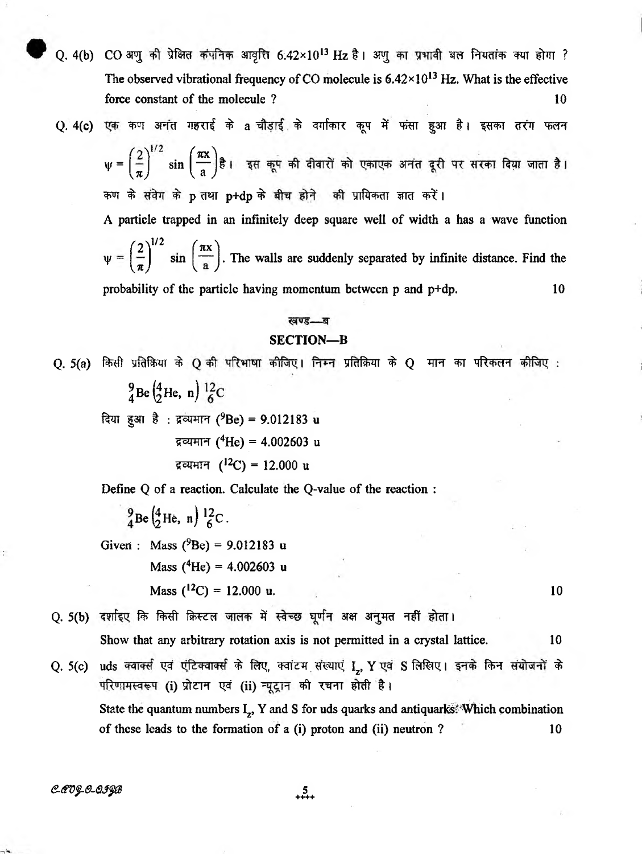- Q. 4(b) CO अणु की प्रेक्षित कंपनिक आवृत्ति 6.42×10<sup>13</sup> Hz है। अणु का प्रभावी बल नियतांक क्या होगा ? The observed vibrational frequency of CO molecule is  $6.42 \times 10^{13}$  Hz. What is the effective force constant of the molecule ? 10
- Q. 4(c) एक कण अनंत गहराई के a चौड़ाई के वर्गाकार कूप में फंसा हुआ है। इसका तरंग फलन

 $\psi = \left(\frac{2}{\pi}\right)^{1/2} \sin \left(\frac{\pi x}{a}\right)$ है। इस कूप की दीवारों को एकाएक अनंत दूरी पर सरका दिया जाता है। कण के संवेग के p तथा p+dp के बीच होने की प्रायिकता ज्ञात करें।

A particle trapped in an infinitely deep square well of width a has a wave function  $\left( 2 \right)^{1/2}$   $\left( \pi x \right)^{3}$ V 2  $\left(\frac{-}{\pi}\right)$  sin  $\left(\frac{-}{a}\right)$ . The walls are suddenly separated by infinite distance. Find the probability of the particle having momentum between p and p+dp. 10

#### Jol U.C.

#### SECTION—B

 $Q. 5(a)$  किसी प्रतिक्रिया के  $Q$  की परिभाषा कीजिए। निम्न प्रतिक्रिया के  $Q$  मान का परिकलन कीजिए :  $^{9}_{4}$ Be $^{4}_{2}$ He, n)  $^{12}_{6}$ C

दिया हुआ है: द्रव्यमान (9Be) = 9.012183 u द्रव्यमान (<sup>4</sup>He) = 4.002603 u द्रव्यमान ( $^{12}$ C) = 12.000 u

Define Q of a reaction. Calculate the Q-value of the reaction :

 $\frac{9}{4}$ Be $\left(\frac{4}{2}$ He, n)  $\frac{12}{6}$ C.

Given: Mass ( $^{9}$ Be) = 9.012183 u Mass  $(^{4}He) = 4.002603$  u

Mass  $(^{12}C) = 12.000$  u. 10

Q. 5(b) दर्शाइए कि किसी क्रिस्टल जालक में स्वेच्छ घूर्णन अक्ष अनुमत नहीं होता।

Show that any arbitrary rotation axis is not permitted in a crystal lattice. 10

Q. 5(c) uds क्वार्क्स एवं एंटिक्वार्क्स के लिए, क्वांटम संख्याएं I., Y एवं S लिखिए। इनके किन संयोजनों के परिणामस्वरूप (i) प्रोटान एवं (ii) न्यूट्रान की रचना होती है। State the quantum numbers  $I_z$ , Y and S for uds quarks and antiquarks<sup>\*</sup>Which combination of these leads to the formation of a (i) proton and (ii) neutron ? 10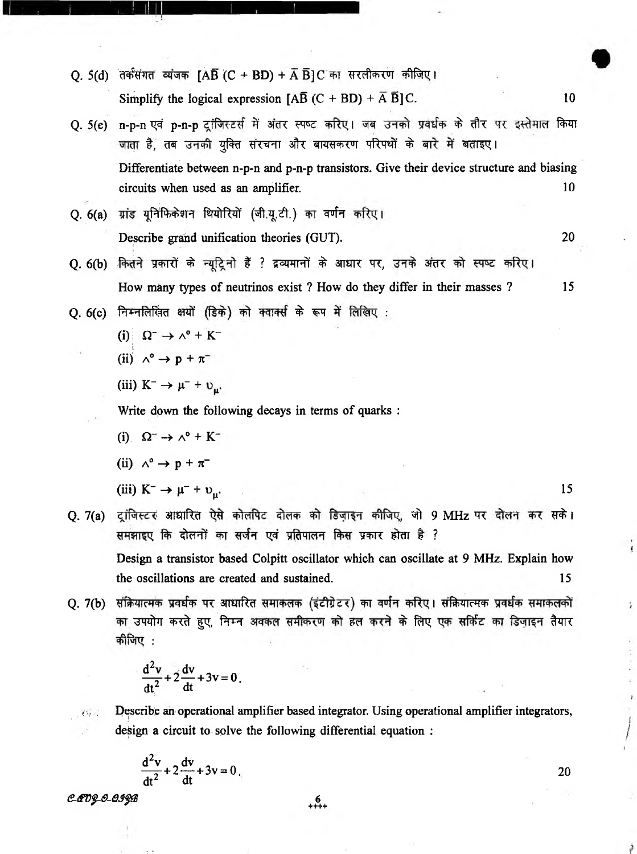- Q. 5(d) तर्कसंगत व्यंजक [AB (C + BD) + A B ]C का सरलीकरण कीजिए। Simplify the logical expression  $[A\overline{B}(C + BD) + \overline{A}\overline{B}]C$ . 10
- O. 5(e) n-p-n एवं p-n-p ट्रांजिस्टर्स में अंतर स्पष्ट करिए। जब उनको प्रवर्धक के तौर पर इस्तेमाल किया जाता है, तब उनकी युक्ति संरचना और बायसकरण परिपथों के बारे में बताइए। Differentiate between n-p-n and p-n-p transistors. Give their device structure and biasing circuits when used as an amplifier. 10

Q. 6(a) ^ r f ^ F T fWtzff ( ^ . A ) *^* Describe grand unification theories (GUT). 20

- Q. 6(b) कितने प्रकारों के न्युट्रिनो हैं ? द्रव्यमानों के आधार पर, उनके अंतर को स्पष्ट करिए। How many types of neutrinos exist ? How do they differ in their masses ? 15
- Q. 6(c) निम्नलिखित क्षयों (डिके) को क्वार्क्स के रूप में लिखिए :

(i) 
$$
\Omega^- \to \wedge^0 + K^-
$$

(ii) 
$$
\wedge^{\circ} \rightarrow p + \pi^{-}
$$

(iii)  $K^- \rightarrow \mu^- + \nu_{\mu}$ .

Write down the following decays in terms of quarks :

(i).  $\Omega^- \rightarrow \Lambda^0 + K^-$ 

(ii) 
$$
\wedge^{\circ} \rightarrow p + \pi^{-}
$$

(iii)  $K^- \to \mu^- + \upsilon_\mu$ .

Q. 7(a) ट्रांजिस्टर आधारित ऐसे कोलपिट दोलक को डिज़ाइन कीजिए, जो 9 MHz पर दोलन कर सके। समझाइए कि दोलनों का सर्जन एवं प्रतिपालन किस प्रकार होता है ? Design a transistor based Colpitt oscillator which can oscillate at 9 MHz. Explain how

the oscillations are created and sustained. 15

Q. 7(b) संक्रियात्मक प्रवर्धक पर आधारित समाकलक (इंटीग्रेटर) का वर्णन करिए। संक्रियात्मक प्रवर्धक समाकलकों का उपयोग करते हुए, निम्न अवकल समीकरण को हल करने के लिए एक सर्किट का डिजाइन तैयार  $\frac{1}{2}$ ीजिए :

$$
\frac{d^2v}{dt^2} + 2\frac{dv}{dt} + 3v = 0.
$$

**Pescribe an operational amplifier based integrator.** Using operational amplifier integrators, design a circuit to solve the following differential equation :

$$
\frac{d^2v}{dt^2} + 2\frac{dv}{dt} + 3v = 0
$$

*<S-<\$V\$-e-63\$®* + 6\_+